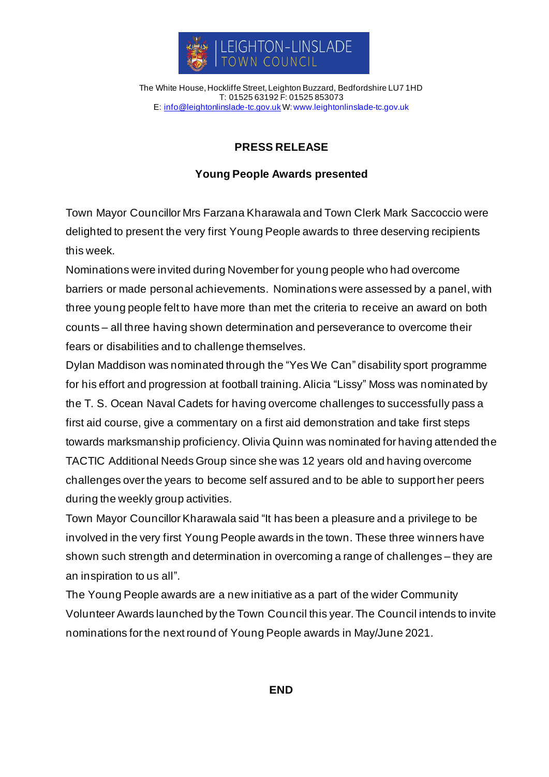

The White House, Hockliffe Street, Leighton Buzzard, Bedfordshire LU7 1HD T: 01525 63192 F: 01525 853073 E: [info@leightonlinslade-tc.gov.uk](mailto:bookings@leightonlinslade-tc.gov.uk) W[: www.leightonlinslade-tc.gov.uk](http://www.leightonlinslade-tc.gov.uk/)

## **PRESS RELEASE**

## **Young People Awards presented**

Town Mayor Councillor Mrs Farzana Kharawala and Town Clerk Mark Saccoccio were delighted to present the very first Young People awards to three deserving recipients this week.

Nominations were invited during November for young people who had overcome barriers or made personal achievements. Nominations were assessed by a panel, with three young people felt to have more than met the criteria to receive an award on both counts – all three having shown determination and perseverance to overcome their fears or disabilities and to challenge themselves.

Dylan Maddison was nominated through the "Yes We Can" disability sport programme for his effort and progression at football training. Alicia "Lissy" Moss was nominated by the T. S. Ocean Naval Cadets for having overcome challenges to successfully pass a first aid course, give a commentary on a first aid demonstration and take first steps towards marksmanship proficiency. Olivia Quinn was nominated for having attended the TACTIC Additional Needs Group since she was 12 years old and having overcome challenges over the years to become self assured and to be able to support her peers during the weekly group activities.

Town Mayor Councillor Kharawala said "It has been a pleasure and a privilege to be involved in the very first Young People awards in the town. These three winners have shown such strength and determination in overcoming a range of challenges – they are an inspiration to us all".

The Young People awards are a new initiative as a part of the wider Community Volunteer Awards launched by the Town Council this year. The Council intends to invite nominations for the next round of Young People awards in May/June 2021.